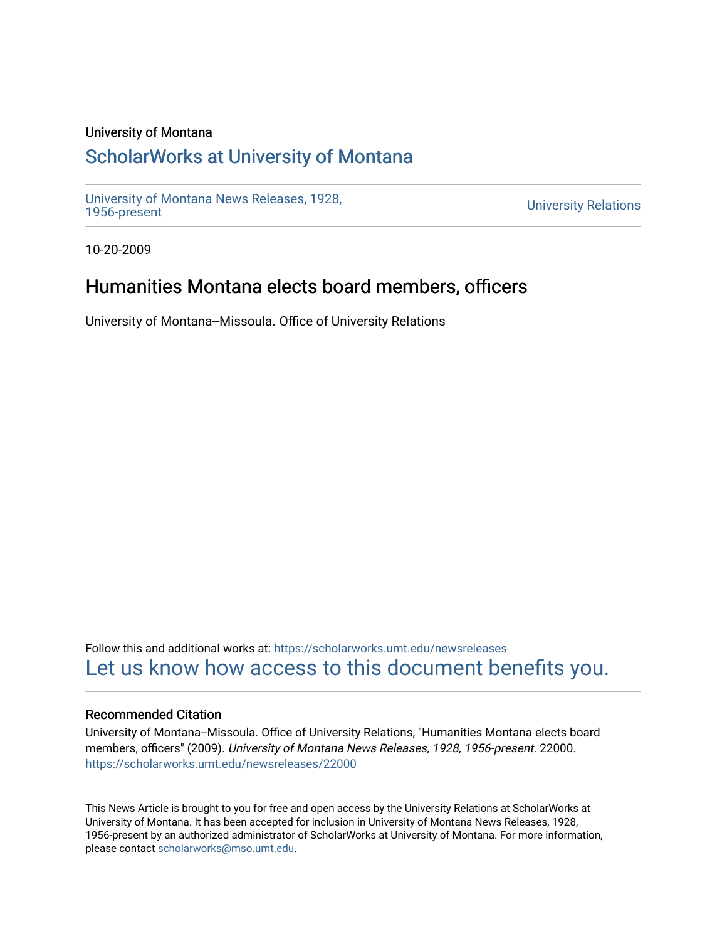### University of Montana

# [ScholarWorks at University of Montana](https://scholarworks.umt.edu/)

[University of Montana News Releases, 1928,](https://scholarworks.umt.edu/newsreleases) 

**University Relations** 

10-20-2009

## Humanities Montana elects board members, officers

University of Montana--Missoula. Office of University Relations

Follow this and additional works at: [https://scholarworks.umt.edu/newsreleases](https://scholarworks.umt.edu/newsreleases?utm_source=scholarworks.umt.edu%2Fnewsreleases%2F22000&utm_medium=PDF&utm_campaign=PDFCoverPages) [Let us know how access to this document benefits you.](https://goo.gl/forms/s2rGfXOLzz71qgsB2) 

### Recommended Citation

University of Montana--Missoula. Office of University Relations, "Humanities Montana elects board members, officers" (2009). University of Montana News Releases, 1928, 1956-present. 22000. [https://scholarworks.umt.edu/newsreleases/22000](https://scholarworks.umt.edu/newsreleases/22000?utm_source=scholarworks.umt.edu%2Fnewsreleases%2F22000&utm_medium=PDF&utm_campaign=PDFCoverPages) 

This News Article is brought to you for free and open access by the University Relations at ScholarWorks at University of Montana. It has been accepted for inclusion in University of Montana News Releases, 1928, 1956-present by an authorized administrator of ScholarWorks at University of Montana. For more information, please contact [scholarworks@mso.umt.edu.](mailto:scholarworks@mso.umt.edu)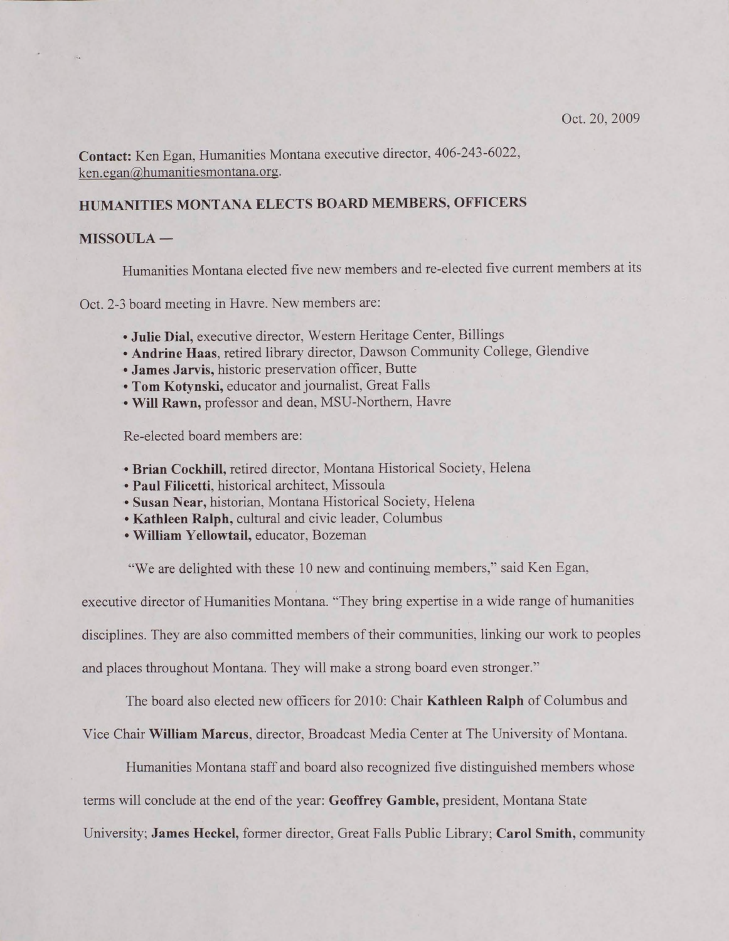**Contact:** Ken Egan. Humanities Montana executive director, 406-243-6022, ken.egan@humanitiesmontana.org.

#### **HUMANITIES MONTANA ELECTS BOARD MEMBERS, OFFICERS**

#### **MISSOULA —**

Humanities Montana elected five new members and re-elected five current members at its

Oct. 2-3 board meeting in Havre. New members are:

- **Julie Dial,** executive director, Western Heritage Center. Billings
- **Andrine Haas,** retired library director, Dawson Community College, Glendive
- **Janies Jarvis,** historic preservation officer, Butte
- **Tom Kotvnski,** educator and journalist. Great Falls
- **Will Rawn,** professor and dean. MSU-Northem, Havre

Re-elected board members are:

- **Brian Cockhill,** retired director, Montana Historical Society. Helena
- • **Paul Filicetti,** historical architect, Missoula
- • **Susan Near,** historian, Montana Historical Society, Helena
- **Kathleen Ralph,** cultural and civic leader, Columbus
- **William Yellowtail,** educator. Bozeman

"We are delighted with these 10 new and continuing members," said Ken Egan,

executive director of Humanities Montana. "They bring expertise in a wide range of humanities

disciplines. They are also committed members of their communities, linking our work to peoples

and places throughout Montana. They will make a strong board even stronger."

The board also elected new officers for 2010: Chair **Kathleen Ralph** of Columbus and

Vice Chair **William Marcus,** director, Broadcast Media Center at The University of Montana.

Humanities Montana staff and board also recognized five distinguished members whose

terms will conclude at the end of the year: **Geoffrey Gamble,** president. Montana State

University; **James Heckel,** former director, Great Falls Public Library; **Carol Smith,** community